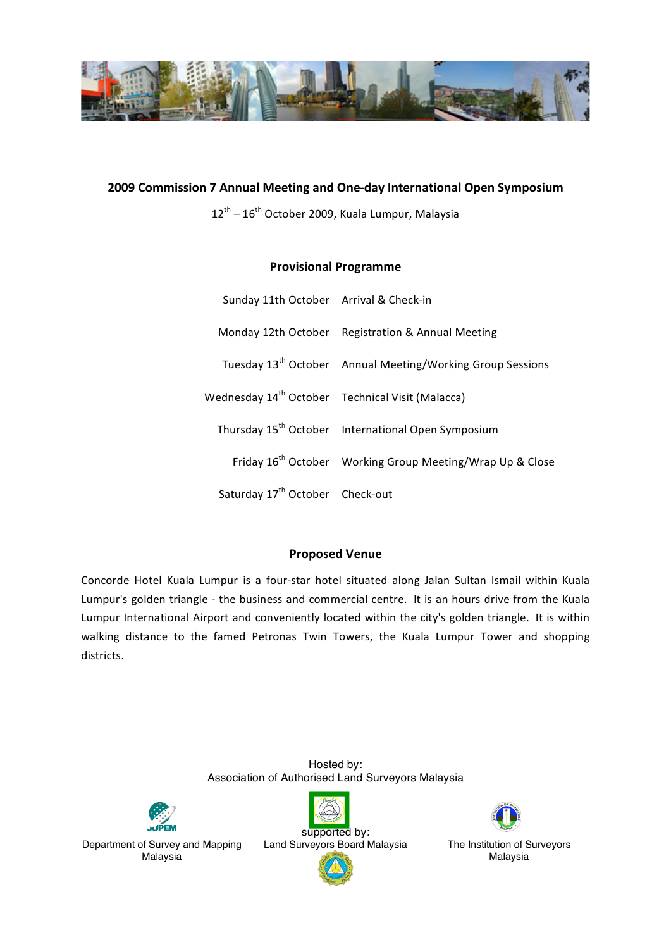

## 2009 Commission 7 Annual Meeting and One-day International Open Symposium

12<sup>th</sup> – 16<sup>th</sup> October 2009, Kuala Lumpur, Malaysia

## **Provisional
Programme**

| Sunday 11th October Arrival & Check-in                       |                                                                        |
|--------------------------------------------------------------|------------------------------------------------------------------------|
|                                                              | Monday 12th October Registration & Annual Meeting                      |
|                                                              | Tuesday 13 <sup>th</sup> October Annual Meeting/Working Group Sessions |
| Wednesday 14 <sup>th</sup> October Technical Visit (Malacca) |                                                                        |
|                                                              | Thursday 15 <sup>th</sup> October International Open Symposium         |
|                                                              | Friday 16 <sup>th</sup> October Working Group Meeting/Wrap Up & Close  |
| Saturday 17 <sup>th</sup> October Check-out                  |                                                                        |

### **Proposed
Venue**

Concorde Hotel Kuala Lumpur is a four-star hotel situated along Jalan Sultan Ismail within Kuala Lumpur's golden triangle - the business and commercial centre. It is an hours drive from the Kuala Lumpur International Airport and conveniently located within the city's golden triangle. It is within walking distance to the famed Petronas Twin Towers, the Kuala Lumpur Tower and shopping districts.

> Hosted by: Association of Authorised Land Surveyors Malaysia



Department of Survey and Mapping Malaysia





Malaysia